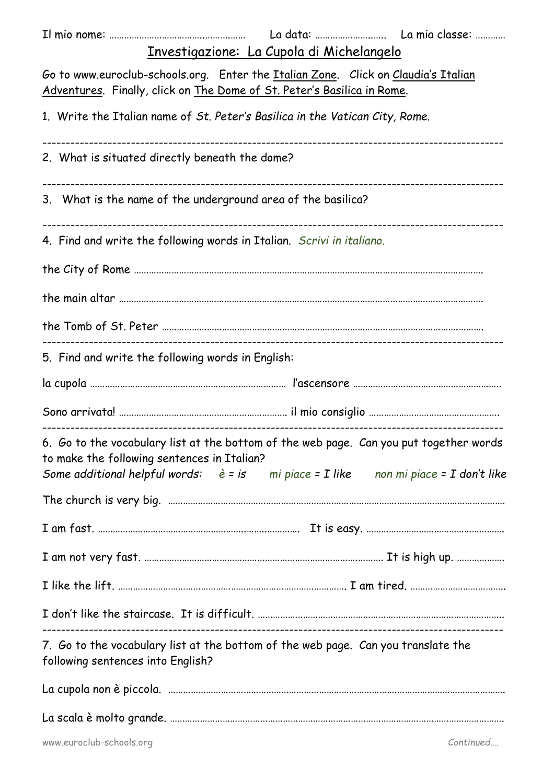| Investigazione: La Cupola di Michelangelo                                                                                                                                                                                             |
|---------------------------------------------------------------------------------------------------------------------------------------------------------------------------------------------------------------------------------------|
| Go to www.euroclub-schools.org. Enter the Italian Zone. Click on Claudia's Italian<br>Adventures. Finally, click on The Dome of St. Peter's Basilica in Rome.                                                                         |
| 1. Write the Italian name of St. Peter's Basilica in the Vatican City, Rome.                                                                                                                                                          |
| 2. What is situated directly beneath the dome?                                                                                                                                                                                        |
| 3. What is the name of the underground area of the basilica?                                                                                                                                                                          |
| 4. Find and write the following words in Italian. Scrivi in italiano.                                                                                                                                                                 |
|                                                                                                                                                                                                                                       |
|                                                                                                                                                                                                                                       |
|                                                                                                                                                                                                                                       |
| 5. Find and write the following words in English:                                                                                                                                                                                     |
|                                                                                                                                                                                                                                       |
|                                                                                                                                                                                                                                       |
| 6. Go to the vocabulary list at the bottom of the web page. Can you put together words<br>to make the following sentences in Italian?<br>Some additional helpful words: $\dot{e} = i s$ mi piace = I like non mi piace = I don't like |
|                                                                                                                                                                                                                                       |
|                                                                                                                                                                                                                                       |
|                                                                                                                                                                                                                                       |
|                                                                                                                                                                                                                                       |
|                                                                                                                                                                                                                                       |
| 7. Go to the vocabulary list at the bottom of the web page. Can you translate the<br>following sentences into English?                                                                                                                |
|                                                                                                                                                                                                                                       |
|                                                                                                                                                                                                                                       |